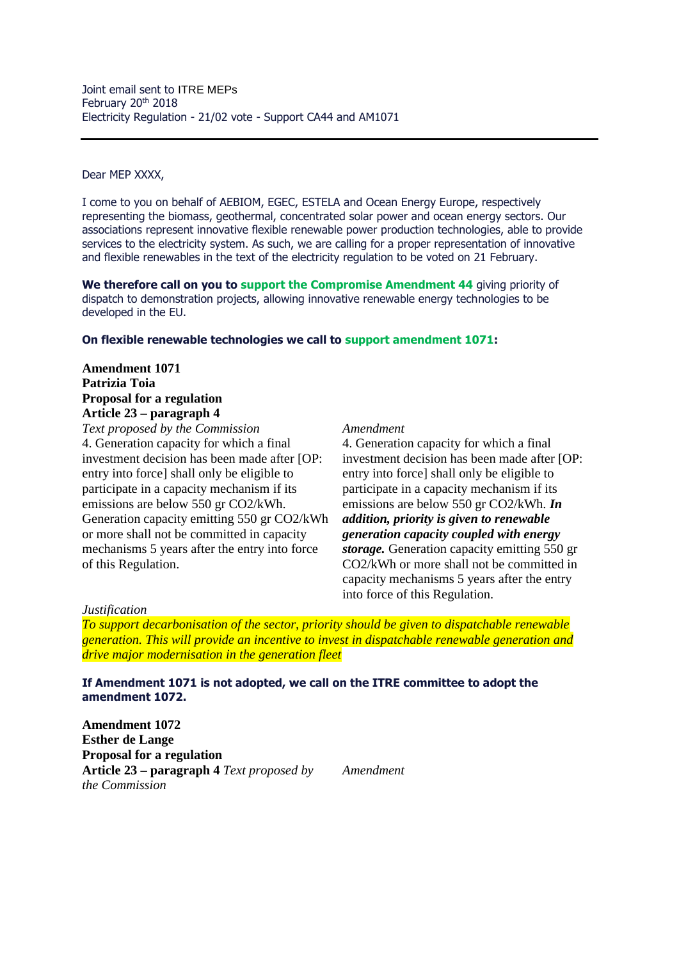Dear MEP XXXX,

I come to you on behalf of AEBIOM, EGEC, ESTELA and Ocean Energy Europe, respectively representing the biomass, geothermal, concentrated solar power and ocean energy sectors. Our associations represent innovative flexible renewable power production technologies, able to provide services to the electricity system. As such, we are calling for a proper representation of innovative and flexible renewables in the text of the electricity regulation to be voted on 21 February.

**We therefore call on you to support the Compromise Amendment 44 giving priority of** dispatch to demonstration projects, allowing innovative renewable energy technologies to be developed in the EU.

## **On flexible renewable technologies we call to support amendment 1071:**

# **Amendment 1071 Patrizia Toia Proposal for a regulation Article 23 – paragraph 4**

*Text proposed by the Commission Amendment*  4. Generation capacity for which a final investment decision has been made after [OP: entry into force] shall only be eligible to participate in a capacity mechanism if its emissions are below 550 gr CO2/kWh. Generation capacity emitting 550 gr CO2/kWh or more shall not be committed in capacity mechanisms 5 years after the entry into force of this Regulation.

4. Generation capacity for which a final investment decision has been made after [OP: entry into force] shall only be eligible to participate in a capacity mechanism if its emissions are below 550 gr CO2/kWh. *In addition, priority is given to renewable generation capacity coupled with energy storage.* Generation capacity emitting 550 gr CO2/kWh or more shall not be committed in capacity mechanisms 5 years after the entry into force of this Regulation.

### *Justification*

*To support decarbonisation of the sector, priority should be given to dispatchable renewable generation. This will provide an incentive to invest in dispatchable renewable generation and drive major modernisation in the generation fleet*

## **If Amendment 1071 is not adopted, we call on the ITRE committee to adopt the amendment 1072.**

**Amendment 1072 Esther de Lange Proposal for a regulation Article 23 – paragraph 4** *Text proposed by the Commission* 

*Amendment*